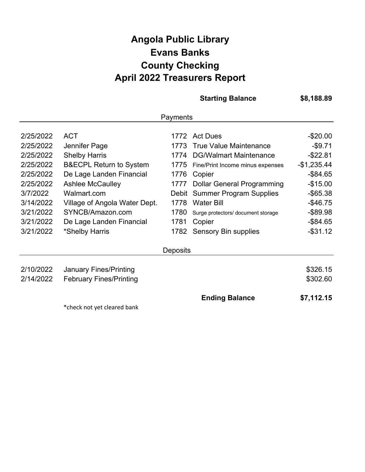## **Angola Public Library April 2022 Treasurers Report Evans Banks County Checking**

**Starting Balance**

**\$8,188.89**

| Payments  |                                    |          |                                    |              |  |
|-----------|------------------------------------|----------|------------------------------------|--------------|--|
|           |                                    |          |                                    |              |  |
| 2/25/2022 | <b>ACT</b>                         |          | 1772 Act Dues                      | $-$20.00$    |  |
| 2/25/2022 | Jennifer Page                      | 1773     | <b>True Value Maintenance</b>      | $-$ \$9.71   |  |
| 2/25/2022 | <b>Shelby Harris</b>               | 1774     | <b>DG/Walmart Maintenance</b>      | $-$ \$22.81  |  |
| 2/25/2022 | <b>B&amp;ECPL Return to System</b> | 1775     | Fine/Print Income minus expenses   | $-$1,235.44$ |  |
| 2/25/2022 | De Lage Landen Financial           | 1776     | Copier                             | $-$ \$84.65  |  |
| 2/25/2022 | <b>Ashlee McCaulley</b>            | 1777     | <b>Dollar General Programming</b>  | $-$15.00$    |  |
| 3/7/2022  | Walmart.com                        |          | Debit Summer Program Supplies      | $-$ \$65.38  |  |
| 3/14/2022 | Village of Angola Water Dept.      | 1778     | <b>Water Bill</b>                  | $-$46.75$    |  |
| 3/21/2022 | SYNCB/Amazon.com                   | 1780     | Surge protectors/ document storage | $-$ \$89.98  |  |
| 3/21/2022 | De Lage Landen Financial           | 1781     | Copier                             | $-$ \$84.65  |  |
| 3/21/2022 | *Shelby Harris                     | 1782     | <b>Sensory Bin supplies</b>        | $-$ \$31.12  |  |
|           |                                    | Deposits |                                    |              |  |
|           |                                    |          |                                    |              |  |
| 2/10/2022 | <b>January Fines/Printing</b>      |          |                                    | \$326.15     |  |
| 2/14/2022 | <b>February Fines/Printing</b>     |          |                                    | \$302.60     |  |
|           |                                    |          | <b>Ending Balance</b>              | \$7,112.15   |  |
|           | *check not yet cleared bank        |          |                                    |              |  |